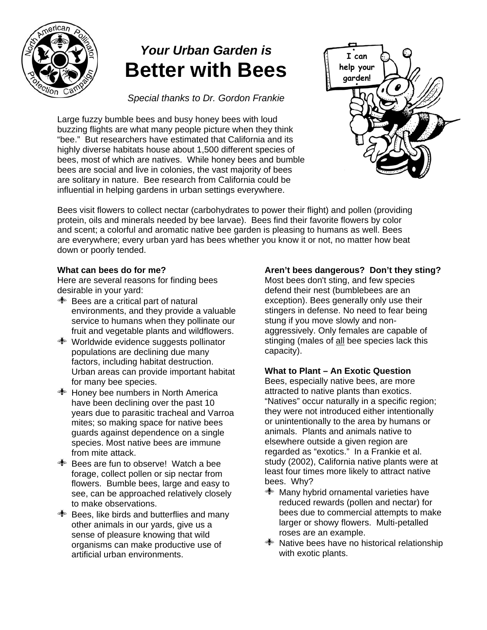

# *Your Urban Garden is*  **Better with Bees**

*Special thanks to Dr. Gordon Frankie* 

Large fuzzy bumble bees and busy honey bees with loud buzzing flights are what many people picture when they think "bee." But researchers have estimated that California and its highly diverse habitats house about 1,500 different species of bees, most of which are natives. While honey bees and bumble bees are social and live in colonies, the vast majority of bees are solitary in nature. Bee research from California could be influential in helping gardens in urban settings everywhere.



Bees visit flowers to collect nectar (carbohydrates to power their flight) and pollen (providing protein, oils and minerals needed by bee larvae). Bees find their favorite flowers by color and scent; a colorful and aromatic native bee garden is pleasing to humans as well. Bees are everywhere; every urban yard has bees whether you know it or not, no matter how beat down or poorly tended.

# **What can bees do for me?**

Here are several reasons for finding bees desirable in your yard:

- $\triangleq$  Bees are a critical part of natural environments, and they provide a valuable service to humans when they pollinate our fruit and vegetable plants and wildflowers.
- Worldwide evidence suggests pollinator populations are declining due many factors, including habitat destruction. Urban areas can provide important habitat for many bee species.
- Honey bee numbers in North America have been declining over the past 10 years due to parasitic tracheal and Varroa mites; so making space for native bees guards against dependence on a single species. Most native bees are immune from mite attack.
- Bees are fun to observe! Watch a bee forage, collect pollen or sip nectar from flowers. Bumble bees, large and easy to see, can be approached relatively closely to make observations.
- $\triangleq$  Bees, like birds and butterflies and many other animals in our yards, give us a sense of pleasure knowing that wild organisms can make productive use of artificial urban environments.

# **Aren't bees dangerous? Don't they sting?**

Most bees don't sting, and few species defend their nest (bumblebees are an exception). Bees generally only use their stingers in defense. No need to fear being stung if you move slowly and nonaggressively. Only females are capable of stinging (males of all bee species lack this capacity).

## **What to Plant – An Exotic Question**

Bees, especially native bees, are more attracted to native plants than exotics. "Natives" occur naturally in a specific region; they were not introduced either intentionally or unintentionally to the area by humans or animals. Plants and animals native to elsewhere outside a given region are regarded as "exotics." In a Frankie et al. study (2002), California native plants were at least four times more likely to attract native bees. Why?

- Many hybrid ornamental varieties have reduced rewards (pollen and nectar) for bees due to commercial attempts to make larger or showy flowers. Multi-petalled roses are an example.
- $\triangleq$  Native bees have no historical relationship with exotic plants.